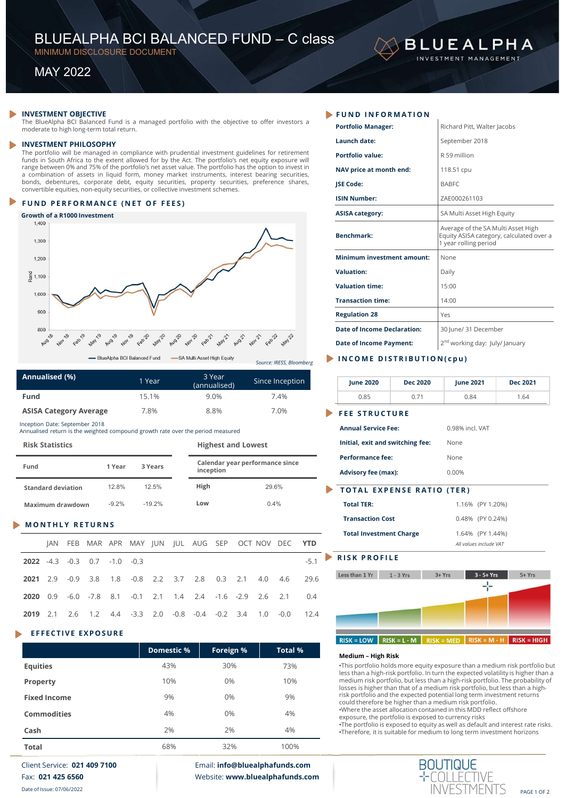# BLUEALPHA BCI BALANCED FUND – C class<br>
MINIMUM DISCLOSURE DOCUMENT<br>
MAY 2022 BLUEALPHA BCI BALANCED FUND – C class<br>
MINIMUM DISCLOSURE DOCUMENT<br>
MAY 2022 **BLUEALPHA BCI BALANCED FUND — C class**<br>
MINIMUM DISCLOSURE DOCUMENT<br>
MAY 2022<br> **ESTMENT OBJECTIVE**<br>
BlueAlpha BCI Balanced Fund is a managed portfolio with the objective to offer investors a<br> **EXECUTE PROPERTY PROPERTY**<br>

# Growth of a R1000 Investment<br> $1,400$



| Annualised (%)                | 1 Year | 3 Year<br>(annualised) | Since Inception |
|-------------------------------|--------|------------------------|-----------------|
| <b>Fund</b>                   | 15.1%  | $9.0\%$                | 7.4%            |
| <b>ASISA Category Average</b> | 7.8%   | 8.8%                   | 7.0%            |

| <b>Risk Statistics</b>    |         |          | <b>Highest and Lowest</b> |                                 | initial, exit and switching re                        |
|---------------------------|---------|----------|---------------------------|---------------------------------|-------------------------------------------------------|
| Fund                      | 1 Year  | 3 Years  | inception                 | Calendar year performance since | <b>Performance fee:</b><br><b>Advisory fee (max):</b> |
| <b>Standard deviation</b> | 12.8%   | 12.5%    | High                      | 29.6%                           | <b>TOTAL EXPENSE RA</b>                               |
| Maximum drawdown          | $-9.2%$ | $-19.2%$ | Low                       | $0.4\%$                         | <b>Total TER:</b>                                     |

| <b>Fund</b>                                                                                                       |                     |                           |                               |                 |        | 15.1%             |        |                | 9.0%                      |        |         | 7.4%                            |            | 0.85                                                                                                          |                | 0.71 |
|-------------------------------------------------------------------------------------------------------------------|---------------------|---------------------------|-------------------------------|-----------------|--------|-------------------|--------|----------------|---------------------------|--------|---------|---------------------------------|------------|---------------------------------------------------------------------------------------------------------------|----------------|------|
|                                                                                                                   |                     |                           | <b>ASISA Category Average</b> |                 |        | 7.8%              |        |                | 8.8%                      |        |         | 7.0%                            |            | <b>FEE STRUCTURE</b>                                                                                          |                |      |
| Inception Date: September 2018<br>Annualised return is the weighted compound growth rate over the period measured |                     |                           |                               |                 |        |                   |        |                |                           |        |         |                                 |            | <b>Annual Service Fee:</b>                                                                                    |                |      |
| <b>Risk Statistics</b>                                                                                            |                     |                           |                               |                 |        |                   |        |                | <b>Highest and Lowest</b> |        |         |                                 |            | Initial, exit and switching fee                                                                               |                |      |
| Fund                                                                                                              |                     |                           |                               | 1 Year          |        | 3 Years           |        |                | inception                 |        |         | Calendar year performance since |            | <b>Performance fee:</b><br><b>Advisory fee (max):</b>                                                         |                |      |
|                                                                                                                   |                     | <b>Standard deviation</b> |                               | 12.8%           |        | 12.5%             |        | High           |                           |        |         | 29.6%                           |            | <b>TOTAL EXPENSE RAT</b>                                                                                      |                |      |
|                                                                                                                   |                     | Maximum drawdown          |                               | $-9.2%$         |        | $-19.2%$          |        | Low            |                           |        |         | 0.4%                            |            | <b>Total TER:</b>                                                                                             |                |      |
|                                                                                                                   |                     |                           | <b>MONTHLY RETURNS</b>        |                 |        |                   |        |                |                           |        |         |                                 |            | <b>Transaction Cost</b><br><b>Total Investment Charge</b>                                                     |                |      |
|                                                                                                                   | JAN                 | <b>FEB</b>                |                               | MAR APR MAY JUN |        |                   |        | <b>IUL AUG</b> | <b>SEP</b>                |        | OCT NOV | <b>DEC</b>                      | <b>YTD</b> |                                                                                                               |                |      |
| 2022                                                                                                              | $-4.3$              | $-0.3$                    | 0.7                           | $-1.0$          | $-0.3$ |                   |        |                |                           |        |         |                                 | $-5.1$     | <b>RISK PROFILE</b>                                                                                           |                |      |
| 2021                                                                                                              | 2.9                 | $-0.9$                    | 3.8                           | 1.8             | $-0.8$ | 2.2               | 3.7    | 2.8            | 0.3                       | 2.1    | 4.0     | 4.6                             | 29.6       | Less than 1 Yr                                                                                                | $1 - 3$ Yrs    |      |
| 2020                                                                                                              | 0.9                 | $-6.0$                    | $-7.8$                        | 8.1             | $-0.1$ | 2.1               | 1.4    | 2.4            | $-1.6$                    | $-2.9$ | 2.6     | 2.1                             | 0.4        |                                                                                                               |                |      |
| 2019                                                                                                              | 2.1                 | 2.6                       | 1.2                           | 4.4             | $-3.3$ | 2.0               | $-0.8$ | $-0.4$         | $-0.2$                    | 3.4    | 1.0     | $-0.0$                          | 12.4       |                                                                                                               |                |      |
|                                                                                                                   |                     |                           | <b>EFFECTIVE EXPOSURE</b>     |                 |        |                   |        |                |                           |        |         |                                 |            | $RISK = LOW$                                                                                                  | $RISK = L - M$ |      |
|                                                                                                                   |                     |                           |                               |                 |        | <b>Domestic %</b> |        |                | Foreign %                 |        |         | <b>Total %</b>                  |            |                                                                                                               |                |      |
| <b>Equities</b>                                                                                                   |                     |                           |                               |                 |        |                   | 43%    |                | 30%                       |        |         | 73%                             |            | Medium - High Risk<br>•This portfolio holds more equit                                                        |                |      |
| <b>Property</b>                                                                                                   |                     |                           |                               |                 |        |                   | 10%    |                | 0%                        |        |         | 10%                             |            | less than a high-risk portfolio. Ir<br>medium risk portfolio, but less t<br>losses is higher than that of a m |                |      |
|                                                                                                                   | <b>Fixed Income</b> |                           |                               |                 |        |                   | 9%     |                | 0%                        |        |         | 9%                              |            | risk portfolio and the expected<br>could thoroforo he higher than                                             |                |      |

|                        |                     | inception pate. September 2010 |        | Annualised return is the weighted compound growth rate over the period measured |        |          |                   |        |                           |        |             |                                 |                                 | <b>Annual Service Fee:</b><br>0.98% incl. VAT                                                                                                                                                                                                       |
|------------------------|---------------------|--------------------------------|--------|---------------------------------------------------------------------------------|--------|----------|-------------------|--------|---------------------------|--------|-------------|---------------------------------|---------------------------------|-----------------------------------------------------------------------------------------------------------------------------------------------------------------------------------------------------------------------------------------------------|
| <b>Risk Statistics</b> |                     |                                |        |                                                                                 |        |          |                   |        | <b>Highest and Lowest</b> |        |             |                                 |                                 | Initial, exit and switching fee:<br>None                                                                                                                                                                                                            |
| Fund                   |                     |                                |        | 1 Year                                                                          |        | 3 Years  |                   |        | inception                 |        |             | Calendar year performance since |                                 | <b>Performance fee:</b><br>None<br>0.00%<br><b>Advisory fee (max):</b>                                                                                                                                                                              |
|                        |                     | <b>Standard deviation</b>      |        | 12.8%                                                                           |        | 12.5%    |                   | High   |                           |        |             | 29.6%                           |                                 | <b>TOTAL EXPENSE RATIO (TER)</b>                                                                                                                                                                                                                    |
|                        |                     | Maximum drawdown               |        | $-9.2%$                                                                         |        | $-19.2%$ |                   | Low    |                           |        |             | 0.4%                            |                                 | <b>Total TER:</b><br>1.16% (PY 1.20%)                                                                                                                                                                                                               |
|                        |                     | <b>MONTHLY RETURNS</b>         |        |                                                                                 |        |          |                   |        |                           |        |             |                                 |                                 | <b>Transaction Cost</b><br>0.48% (PY 0.24%)                                                                                                                                                                                                         |
|                        | IAN                 | FEB                            |        | MAR APR MAY JUN JUL AUG SEP                                                     |        |          |                   |        |                           |        | OCT NOV DEC |                                 | <b>YTD</b>                      | <b>Total Investment Charge</b><br>1.64% (PY 1.44%)<br>All values include VAT                                                                                                                                                                        |
| 2022                   | $-4.3$              | $-0.3$                         | 0.7    | $-1.0$                                                                          | $-0.3$ |          |                   |        |                           |        |             |                                 | $-5.1$                          | <b>RISK PROFILE</b>                                                                                                                                                                                                                                 |
| 2021                   | 2.9                 | $-0.9$                         | 3.8    | 1.8                                                                             | $-0.8$ | 2.2      | 3.7               | 2.8    | 0.3                       | 2.1    | 4.0         | 4.6                             | 29.6                            | $3 - 5 + Yrs$<br>$1 - 3$ Yrs<br>$3 + Yrs$<br>$5+Yrs$<br>Less than 1 Yr                                                                                                                                                                              |
| 2020                   | 0.9                 | $-6.0$                         | $-7.8$ | 8.1                                                                             | $-0.1$ | 2.1      | 1.4               | 2.4    | $-1.6$                    | $-2.9$ | 2.6         | 2.1                             | 0.4                             | 루                                                                                                                                                                                                                                                   |
| 2019                   | 2.1                 | 2.6                            | 1.2    | 4.4                                                                             | $-3.3$ | 2.0      | $-0.8$            | $-0.4$ | $-0.2$                    | 3.4    | 1.0         | $-0.0$                          | 12.4                            |                                                                                                                                                                                                                                                     |
|                        |                     | <b>EFFECTIVE EXPOSURE</b>      |        |                                                                                 |        |          |                   |        |                           |        |             |                                 |                                 |                                                                                                                                                                                                                                                     |
|                        |                     |                                |        |                                                                                 |        |          | <b>Domestic %</b> |        | Foreign %                 |        |             | <b>Total %</b>                  |                                 | $RISK = LOW$<br>$RISK = L - M$<br>$RISK = MED$ RISK = M - H<br>$RISK = HIGH$                                                                                                                                                                        |
| <b>Equities</b>        |                     |                                |        |                                                                                 |        |          | 43%               |        | 30%                       |        |             | 73%                             |                                 | Medium - High Risk<br>•This portfolio holds more equity exposure than a medium risk portfolio but                                                                                                                                                   |
| Property               |                     |                                |        |                                                                                 |        |          | 10%               |        | 0%                        |        |             | 10%                             |                                 | less than a high-risk portfolio. In turn the expected volatility is higher than a<br>medium risk portfolio, but less than a high-risk portfolio. The probability of<br>losses is higher than that of a medium risk portfolio, but less than a high- |
|                        | <b>Fixed Income</b> |                                |        |                                                                                 |        |          | 9%                |        | 0%                        |        |             | 9%                              |                                 | risk portfolio and the expected potential long term investment returns<br>could therefore be higher than a medium risk portfolio.                                                                                                                   |
|                        | <b>Commodities</b>  |                                |        |                                                                                 |        |          | 4%                |        | 0%                        |        |             | 4%                              |                                 | .Where the asset allocation contained in this MDD reflect offshore<br>exposure, the portfolio is exposed to currency risks                                                                                                                          |
| Cash                   |                     |                                |        |                                                                                 |        |          | 2%                |        | 2%                        |        |             | 4%                              |                                 | •The portfolio is exposed to equity as well as default and interest rate risks.<br>•Therefore, it is suitable for medium to long term investment horizons                                                                                           |
| <b>Total</b>           |                     |                                |        |                                                                                 |        |          | 68%               |        | 32%                       |        |             | 100%                            |                                 |                                                                                                                                                                                                                                                     |
|                        |                     | Client Service: 021 409 7100   |        |                                                                                 |        |          |                   |        |                           |        |             | Email: info@bluealphafunds.com  |                                 | <b>BOUTIQUE</b>                                                                                                                                                                                                                                     |
|                        |                     | Fax: 021 425 6560              |        |                                                                                 |        |          |                   |        |                           |        |             |                                 | Website: www.bluealphafunds.com |                                                                                                                                                                                                                                                     |

| BLUEALPHA BCI BALANCED FUND - C class                                                                                                                                                                                                                                             |                               |                             |                                 |                       |                                               |                 | <b>BLUEALPHA</b>                                                                                        |                 |
|-----------------------------------------------------------------------------------------------------------------------------------------------------------------------------------------------------------------------------------------------------------------------------------|-------------------------------|-----------------------------|---------------------------------|-----------------------|-----------------------------------------------|-----------------|---------------------------------------------------------------------------------------------------------|-----------------|
| MINIMUM DISCLOSURE DOCUMENT                                                                                                                                                                                                                                                       |                               |                             |                                 |                       |                                               |                 | INVESTMENT MANAGEMENT                                                                                   |                 |
| <b>MAY 2022</b>                                                                                                                                                                                                                                                                   |                               |                             |                                 |                       |                                               |                 |                                                                                                         |                 |
|                                                                                                                                                                                                                                                                                   |                               |                             |                                 |                       |                                               |                 |                                                                                                         |                 |
|                                                                                                                                                                                                                                                                                   |                               |                             |                                 |                       |                                               |                 |                                                                                                         |                 |
| <b>INVESTMENT OBJECTIVE</b><br>The BlueAlpha BCI Balanced Fund is a managed portfolio with the objective to offer investors a                                                                                                                                                     |                               |                             |                                 |                       | FUND INFORMATION<br><b>Portfolio Manager:</b> |                 | Richard Pitt, Walter Jacobs                                                                             |                 |
| moderate to high long-term total return.                                                                                                                                                                                                                                          |                               |                             |                                 |                       | Launch date:                                  |                 | September 2018                                                                                          |                 |
| <b>INVESTMENT PHILOSOPHY</b><br>The portfolio will be managed in compliance with prudential investment guidelines for retirement                                                                                                                                                  |                               |                             |                                 |                       | Portfolio value:                              |                 | R 59 million                                                                                            |                 |
| funds in South Africa to the extent allowed for by the Act. The portfolio's net equity exposure will<br>range between 0% and 75% of the portfolio's net asset value. The portfolio has the option to invest in                                                                    |                               |                             |                                 |                       | NAV price at month end:                       |                 | 118.51 cpu                                                                                              |                 |
| a combination of assets in liquid form, money market instruments, interest bearing securities,<br>bonds, debentures, corporate debt, equity securities, property securities, preference shares,<br>convertible equities, non-equity securities, or collective investment schemes. |                               |                             |                                 |                       | <b>JSE Code:</b>                              |                 | <b>BABFC</b>                                                                                            |                 |
| FUND PERFORMANCE (NET OF FEES)                                                                                                                                                                                                                                                    |                               |                             |                                 |                       | <b>ISIN Number:</b>                           |                 | ZAE000261103                                                                                            |                 |
| Growth of a R1000 Investment                                                                                                                                                                                                                                                      |                               |                             |                                 |                       | <b>ASISA category:</b>                        |                 | SA Multi Asset High Equity                                                                              |                 |
| 1,400<br>1,300                                                                                                                                                                                                                                                                    |                               |                             |                                 |                       | <b>Benchmark:</b>                             |                 | Average of the SA Multi Asset High<br>Equity ASISA category, calculated over a<br>1 year rolling period |                 |
| 1,200                                                                                                                                                                                                                                                                             |                               |                             |                                 |                       | <b>Minimum investment amount:</b>             |                 | None                                                                                                    |                 |
| $\frac{2}{6}$ 1,100                                                                                                                                                                                                                                                               |                               |                             |                                 |                       | <b>Valuation:</b>                             |                 | Daily                                                                                                   |                 |
|                                                                                                                                                                                                                                                                                   |                               |                             |                                 |                       | <b>Valuation time:</b>                        |                 | 15:00                                                                                                   |                 |
| 1,000                                                                                                                                                                                                                                                                             | M                             |                             |                                 |                       | <b>Transaction time:</b>                      |                 | 14:00                                                                                                   |                 |
| 900                                                                                                                                                                                                                                                                               |                               |                             |                                 |                       | <b>Regulation 28</b>                          |                 | Yes                                                                                                     |                 |
| 800<br>Aug 18<br>Feb19<br>Aug 19                                                                                                                                                                                                                                                  |                               |                             |                                 |                       | <b>Date of Income Declaration:</b>            |                 | 30 June/ 31 December                                                                                    |                 |
| Nov 18<br><b>May 19</b>                                                                                                                                                                                                                                                           | May2                          |                             | Feb22                           |                       | <b>Date of Income Payment:</b>                |                 | 2 <sup>nd</sup> working day: July/ January                                                              |                 |
|                                                                                                                                                                                                                                                                                   | - BlueAlpha BCI Balanced Fund | -SA Multi Asset High Equity | Source: IRESS, Bloomberg        |                       | INCOME DISTRIBUTION(cpu)                      |                 |                                                                                                         |                 |
| Annualised (%)                                                                                                                                                                                                                                                                    | 1 Year                        | 3 Year<br>(annualised)      | Since Inception                 |                       | <b>June 2020</b>                              | <b>Dec 2020</b> | <b>June 2021</b>                                                                                        | <b>Dec 2021</b> |
| Fund                                                                                                                                                                                                                                                                              | 15.1%                         | 9.0%                        | 7.4%                            |                       | 0.85                                          | 0.71            | 0.84                                                                                                    | 1.64            |
| <b>ASISA Category Average</b>                                                                                                                                                                                                                                                     | 7.8%                          | 8.8%                        | 7.0%                            | $\blacktriangleright$ | <b>FEE STRUCTURE</b>                          |                 |                                                                                                         |                 |
| nception Date: September 2018<br>Innualised return is the weighted compound growth rate over the period measured                                                                                                                                                                  |                               |                             |                                 |                       | <b>Annual Service Fee:</b>                    |                 | 0.98% incl. VAT                                                                                         |                 |
| <b>Risk Statistics</b>                                                                                                                                                                                                                                                            |                               | <b>Highest and Lowest</b>   |                                 |                       | Initial, exit and switching fee:              |                 | None                                                                                                    |                 |
| 1 Year<br>Fund                                                                                                                                                                                                                                                                    | 3 Years                       |                             | Calendar year performance since |                       | <b>Performance fee:</b>                       |                 | None                                                                                                    |                 |
|                                                                                                                                                                                                                                                                                   |                               | inception                   |                                 |                       | <b>Advisory fee (max):</b>                    |                 | 0.00%                                                                                                   |                 |

| 1,200                                                                                                          |       |               |                               |        |                                                 |        |                             |                        |                           |       |                                 |            |                            | <b>Minimum investment amount:</b>                                      | None      |                                            |                                                                                                                                                                  |
|----------------------------------------------------------------------------------------------------------------|-------|---------------|-------------------------------|--------|-------------------------------------------------|--------|-----------------------------|------------------------|---------------------------|-------|---------------------------------|------------|----------------------------|------------------------------------------------------------------------|-----------|--------------------------------------------|------------------------------------------------------------------------------------------------------------------------------------------------------------------|
| $\frac{1}{6}$ 1,100                                                                                            |       |               |                               |        |                                                 |        |                             |                        |                           |       |                                 |            | <b>Valuation:</b>          |                                                                        | Daily     |                                            |                                                                                                                                                                  |
| 1,000                                                                                                          |       |               |                               |        |                                                 |        |                             |                        |                           |       |                                 |            | <b>Valuation time:</b>     |                                                                        | 15:00     |                                            |                                                                                                                                                                  |
|                                                                                                                |       |               |                               |        |                                                 |        |                             |                        |                           |       |                                 |            | <b>Transaction time:</b>   |                                                                        | 14:00     |                                            |                                                                                                                                                                  |
| 900                                                                                                            |       |               |                               |        |                                                 |        |                             |                        |                           |       |                                 |            | <b>Regulation 28</b>       |                                                                        | Yes       |                                            |                                                                                                                                                                  |
| 800                                                                                                            |       |               |                               |        |                                                 |        |                             |                        |                           |       |                                 |            |                            | <b>Date of Income Declaration:</b>                                     |           | 30 June/ 31 December                       |                                                                                                                                                                  |
| Aug 18<br>Nov18                                                                                                | Feb19 | <b>May 19</b> | Aug 19<br>204                 | Feb20  | <b>May 20</b>                                   | AUG 25 | <b>2012</b><br>$4e^{80}$ 21 | <b>May 21</b>          |                           |       |                                 |            |                            | <b>Date of Income Payment:</b>                                         |           | 2 <sup>nd</sup> working day: July/ January |                                                                                                                                                                  |
|                                                                                                                |       |               | - BlueAlpha BCI Balanced Fund |        |                                                 |        | -SA Multi Asset High Equity |                        |                           |       | Source: IRESS, Bloomberg        |            |                            | INCOME DISTRIBUTION(cpu)                                               |           |                                            |                                                                                                                                                                  |
| Annualised (%)                                                                                                 |       |               |                               |        | 1 Year                                          |        |                             | 3 Year<br>(annualised) |                           |       | Since Inception                 |            | <b>June 2020</b>           | <b>Dec 2020</b>                                                        |           | <b>June 2021</b>                           | <b>Dec 2021</b>                                                                                                                                                  |
| Fund                                                                                                           |       |               |                               |        | 15.1%                                           |        |                             | 9.0%                   |                           |       | 7.4%                            |            | 0.85                       | 0.71                                                                   |           | 0.84                                       | 1.64                                                                                                                                                             |
| <b>ASISA Category Average</b>                                                                                  |       |               |                               |        | 7.8%                                            |        |                             | 8.8%                   |                           |       | 7.0%                            |            |                            | <b>FEE STRUCTURE</b>                                                   |           |                                            |                                                                                                                                                                  |
| ception Date: September 2018<br>nnualised return is the weighted compound growth rate over the period measured |       |               |                               |        |                                                 |        |                             |                        |                           |       |                                 |            | <b>Annual Service Fee:</b> |                                                                        |           | 0.98% incl. VAT                            |                                                                                                                                                                  |
| <b>Risk Statistics</b>                                                                                         |       |               |                               |        |                                                 |        |                             |                        | <b>Highest and Lowest</b> |       |                                 |            |                            | Initial, exit and switching fee:                                       |           | None                                       |                                                                                                                                                                  |
|                                                                                                                |       |               |                               |        |                                                 |        |                             |                        |                           |       | Calendar year performance since |            | <b>Performance fee:</b>    |                                                                        |           | None                                       |                                                                                                                                                                  |
| Fund                                                                                                           |       |               | 1 Year                        |        | 3 Years                                         |        |                             | inception              |                           |       |                                 |            | <b>Advisory fee (max):</b> |                                                                        |           | 0.00%                                      |                                                                                                                                                                  |
| <b>Standard deviation</b>                                                                                      |       |               | 12.8%                         |        | 12.5%                                           |        | High                        |                        |                           | 29.6% |                                 |            |                            | <b>TOTAL EXPENSE RATIO (TER)</b>                                       |           |                                            |                                                                                                                                                                  |
| Maximum drawdown                                                                                               |       |               | $-9.2%$                       |        | $-19.2%$                                        |        | Low                         |                        |                           | 0.4%  |                                 |            | <b>Total TER:</b>          |                                                                        |           | 1.16% (PY 1.20%)                           |                                                                                                                                                                  |
| <b>MONTHLY RETURNS</b>                                                                                         |       |               |                               |        |                                                 |        |                             |                        |                           |       |                                 |            | <b>Transaction Cost</b>    |                                                                        |           | 0.48% (PY 0.24%)                           |                                                                                                                                                                  |
|                                                                                                                |       |               |                               |        | JAN FEB MAR APR MAY JUN JUL AUG SEP OCT-NOV DEC |        |                             |                        |                           |       |                                 | <b>YTD</b> |                            | <b>Total Investment Charge</b>                                         |           | 1.64% (PY 1.44%)<br>All values include VAT |                                                                                                                                                                  |
| <b>2022</b> -4.3 -0.3                                                                                          |       |               | $0.7 - 1.0$                   | $-0.3$ |                                                 |        |                             |                        |                           |       |                                 | $-5.1$     | <b>RISK PROFILE</b>        |                                                                        |           |                                            |                                                                                                                                                                  |
| 2021 2.9                                                                                                       | -0.9  | 3.8           | 1.8                           | $-0.8$ | 2.2                                             | 3.7    | 2.8                         | 0.3                    | 2.1                       | 4.0   | 4.6                             | 29.6       | Less than 1 Yr             | $1 - 3$ Yrs                                                            | $3 + Yrs$ | $3 - 5 + Yrs$                              | $5+Yrs$                                                                                                                                                          |
| <b>2020</b> 0.9                                                                                                | -6.0  | -7.8          | 8.1                           | $-0.1$ | 2.1                                             | 1.4    | 2.4                         |                        | $-1.6 -2.9$               | 2.6   | 2.1                             | 0.4        |                            |                                                                        |           | ⊹                                          |                                                                                                                                                                  |
| 2019 2.1                                                                                                       | 2.6   | 1.2           | 4.4                           | $-3.3$ | 2.0                                             | $-0.8$ | $-0.4$                      |                        | $-0.2$ 3.4                | 1.0   | $-0.0$                          | 12.4       |                            |                                                                        |           |                                            |                                                                                                                                                                  |
|                                                                                                                |       |               |                               |        |                                                 |        |                             |                        |                           |       |                                 |            |                            |                                                                        |           |                                            |                                                                                                                                                                  |
| <b>EFFECTIVE EXPOSURE</b>                                                                                      |       |               |                               |        |                                                 |        |                             |                        |                           |       |                                 |            | $RISK = LOW$               | $RISK = L - M$                                                         |           |                                            | $RISK = MED$ RISK = M - H RISK = HIGH                                                                                                                            |
|                                                                                                                |       |               |                               |        | <b>Domestic %</b>                               |        |                             | Foreign %              |                           |       | <b>Total %</b>                  |            | Medium - High Risk         |                                                                        |           |                                            |                                                                                                                                                                  |
| <b>Equities</b>                                                                                                |       |               |                               |        |                                                 | 43%    |                             | 30%                    |                           |       | 73%                             |            |                            |                                                                        |           |                                            | •This portfolio holds more equity exposure than a medium risk portfolio but<br>less than a high-risk portfolio. In turn the expected volatility is higher than a |
| <b>Property</b>                                                                                                |       |               |                               |        |                                                 | 10%    |                             | 0%                     |                           |       | 10%                             |            |                            |                                                                        |           |                                            | medium risk portfolio, but less than a high-risk portfolio. The probability of<br>losses is higher than that of a medium risk portfolio, but less than a high-   |
| <b>Fixed Income</b>                                                                                            |       |               |                               |        |                                                 | 9%     |                             | 0%                     |                           |       | 9%                              |            |                            | risk portfolio and the expected potential long term investment returns |           |                                            |                                                                                                                                                                  |
|                                                                                                                |       |               |                               |        |                                                 |        |                             |                        |                           |       |                                 |            |                            | could therefore be higher than a medium risk portfolio.                |           |                                            |                                                                                                                                                                  |

| <b>Total TER:</b>              | 1.16% (PY 1.20%)       |
|--------------------------------|------------------------|
| <b>Transaction Cost</b>        | 0.48% (PY 0.24%)       |
| <b>Total Investment Charge</b> | 1.64% (PY 1.44%)       |
|                                | All values include VAT |



•This portfolio holds more equity exposure than a medium risk portfolio but less than a high-risk portfolio. In turn the expected volatility is higher than a medium risk portfolio, but less than a high-risk portfolio. The probability of losses is higher than that of a medium risk portfolio, but less than a high-risk portfolio and the expected potential long term investment returns could therefore be higher than a medium risk portfolio. •Where the asset allocation contained in this MDD reflect offshore exposure, the portfolio is exposed to currency risks •The portfolio is exposed to equity as well as default and interest rate risks. •Therefore, it is suitable for medium to long term investment horizons